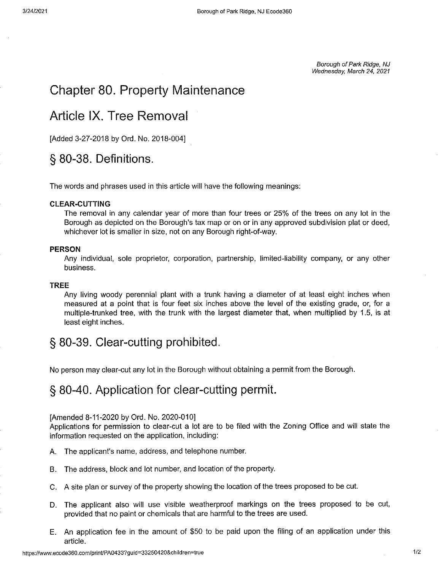Borough of Park Ridge, NJ Wednesday, March 24, 2021

# **Chapter 80. Property Maintenance**

# **Article IX. Tree Removal**

[Added 3-27-2018 by Ord, No. 2018-004]

### § **80-38. Definitions.**

The words and phrases used in this article will have the following meanings:

#### **CLEAR-CUTTING**

The removal in any calendar year of more than four trees or 25% of the trees on any lot in the Borough as depicted on the Borough's tax map or on or in any approved subdivision plat or deed, whichever lot is smaller in size, not on any Borough right-of-way.

#### **PERSON**

Any individual, sole proprietor, corporation, partnership, limited-liability company, or any other business.

#### **TREE**

Any living woody perennial plant with a trunk having a diameter of at least eight inches when measured at a point that is four feet six inches above the level of the existing grade, or, for a multiple-trunked tree, with the trunk with the largest diameter that, when multiplied by 1.5, is at least eight inches.

## § **80-39. Clear-cutting prohibited.**

No person may clear-cut any lot in the Borough without obtaining a permit from the Borough.

### § **80-40. Application for clear-cutting permit.**

[Amended 8-11-2020 by Ord. No. 2020-010]

Applications for permission to clear-cut a lot are to be filed with the Zoning Office and will state the information requested on the application, including:

- A. The applicant's name, address, and telephone number.
- B. The address, block and lot number, and location of the property.
- C. A site plan or survey of the property showing the location of the trees proposed to be cut.
- D. The applicant also will use visible weatherproof markings on the trees proposed to be cut, provided that no paint or chemicals that are harmful to the trees are used.
- E. An application fee in the amount of \$50 to be paid upon the filing of an application under this article.